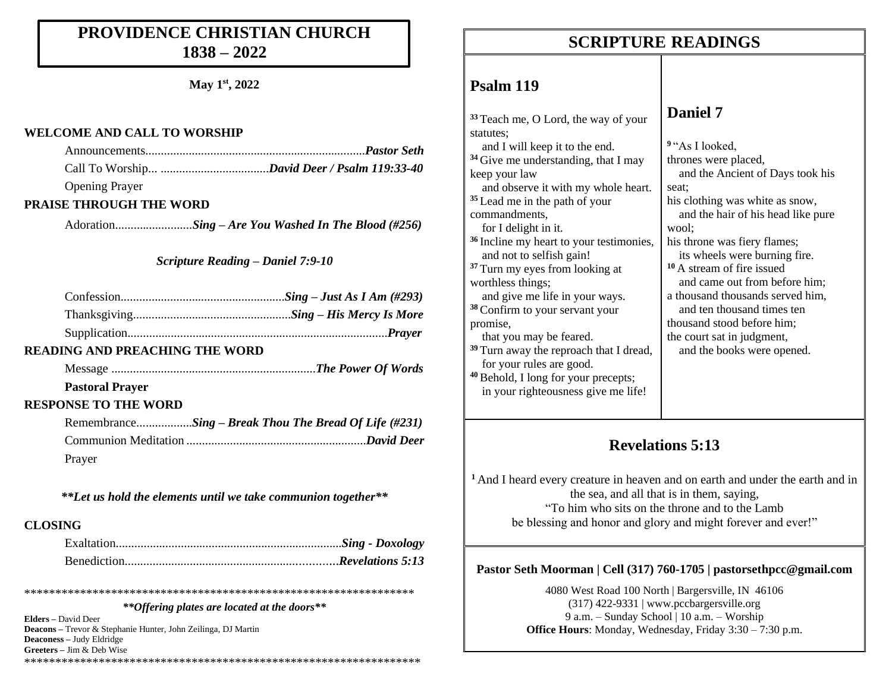### **PROVIDENCE CHRISTIAN CHURCH 1838 – 2022**

**May 1st, 2022**

#### **WELCOME AND CALL TO WORSHIP**

| <b>Opening Prayer</b> |  |
|-----------------------|--|

#### **PRAISE THROUGH THE WORD**

Adoration..........*...............Sing – Are You Washed In The Blood (#256)*

#### *Scripture Reading – Daniel 7:9-10*

| <b>READING AND PREACHING THE WORD</b> |  |
|---------------------------------------|--|
|                                       |  |
| <b>Pastoral Prayer</b>                |  |

#### **RESPONSE TO THE WORD**

|        | RemembranceSing – Break Thou The Bread Of Life (#231) |
|--------|-------------------------------------------------------|
|        |                                                       |
| Prayer |                                                       |

*\*\*Let us hold the elements until we take communion together\*\**

#### **CLOSING**

\*\*\*\*\*\*\*\*\*\*\*\*\*\*\*\*\*\*\*\*\*\*\*\*\*\*\*\*\*\*\*\*\*\*\*\*\*\*\*\*\*\*\*\*\*\*\*\*\*\*\*\*\*\*\*\*\*\*\*\*\*\*\*

#### *\*\*Offering plates are located at the doors\*\**

**Elders –** David Deer **Deacons –** Trevor & Stephanie Hunter, John Zeilinga, DJ Martin **Deaconess –** Judy Eldridge **Greeters –** Jim & Deb Wise \*\*\*\*\*\*\*\*\*\*\*\*\*\*\*\*\*\*\*\*\*\*\*\*\*\*\*\*\*\*\*\*\*\*\*\*\*\*\*\*\*\*\*\*\*\*\*\*\*\*\*\*\*\*\*\*\*\*\*\*\*\*\*\*

#### **SCRIPTURE READINGS SCRIPTURE READINGS**

#### **Psalm 119**

**<sup>33</sup>** Teach me, O Lord, the way of your statutes<sup>.</sup> and I will keep it to the end. **<sup>34</sup>** Give me understanding, that I may keep your law and observe it with my whole heart. **<sup>35</sup>** Lead me in the path of your commandments, for I delight in it. **<sup>36</sup>** Incline my heart to your testimonies, and not to selfish gain! **<sup>37</sup>** Turn my eyes from looking at worthless things; and give me life in your ways. **<sup>38</sup>** Confirm to your servant your promise, that you may be feared. **<sup>39</sup>** Turn away the reproach that I dread, for your rules are good. **<sup>40</sup>** Behold, I long for your precepts; in your righteousness give me life! **Daniel 7 <sup>9</sup>** "As I looked, thrones were placed, and the Ancient of Days took his seat; his clothing was white as snow, and the hair of his head like pure wool; his throne was fiery flames; its wheels were burning fire. **<sup>10</sup>** A stream of fire issued and came out from before him; a thousand thousands served him, and ten thousand times ten thousand stood before him; the court sat in judgment, and the books were opened.

#### **Revelations 5:13**

**<sup>1</sup>** And I heard every creature in heaven and on earth and under the earth and in the sea, and all that is in them, saying, "To him who sits on the throne and to the Lamb be blessing and honor and glory and might forever and ever!"

#### **Pastor Seth Moorman | Cell (317) 760-1705 | pastorsethpcc@gmail.com**

4080 West Road 100 North | Bargersville, IN 46106 (317) 422-9331 | www.pccbargersville.org 9 a.m. – Sunday School | 10 a.m. – Worship **Office Hours**: Monday, Wednesday, Friday 3:30 – 7:30 p.m.